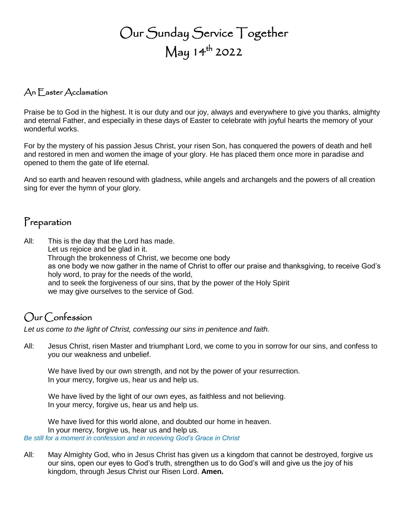# Our Sunday Service Together  $\mathsf{May}\ 14^{\mathsf{th}}$  2022

#### An Easter Acclamation

Praise be to God in the highest. It is our duty and our joy, always and everywhere to give you thanks, almighty and eternal Father, and especially in these days of Easter to celebrate with joyful hearts the memory of your wonderful works.

For by the mystery of his passion Jesus Christ, your risen Son, has conquered the powers of death and hell and restored in men and women the image of your glory. He has placed them once more in paradise and opened to them the gate of life eternal.

And so earth and heaven resound with gladness, while angels and archangels and the powers of all creation sing for ever the hymn of your glory.

## Preparation

All: This is the day that the Lord has made. Let us rejoice and be glad in it. Through the brokenness of Christ, we become one body as one body we now gather in the name of Christ to offer our praise and thanksgiving, to receive God's holy word, to pray for the needs of the world, and to seek the forgiveness of our sins, that by the power of the Holy Spirit we may give ourselves to the service of God.

## Our Confession

*Let us come to the light of Christ, confessing our sins in penitence and faith.*

All: Jesus Christ, risen Master and triumphant Lord, we come to you in sorrow for our sins, and confess to you our weakness and unbelief.

We have lived by our own strength, and not by the power of your resurrection. In your mercy, forgive us, hear us and help us.

We have lived by the light of our own eyes, as faithless and not believing. In your mercy, forgive us, hear us and help us.

We have lived for this world alone, and doubted our home in heaven. In your mercy, forgive us, hear us and help us. *Be still for a moment in confession and in receiving God's Grace in Christ*

All: May Almighty God, who in Jesus Christ has given us a kingdom that cannot be destroyed, forgive us our sins, open our eyes to God's truth, strengthen us to do God's will and give us the joy of his kingdom, through Jesus Christ our Risen Lord. **Amen.**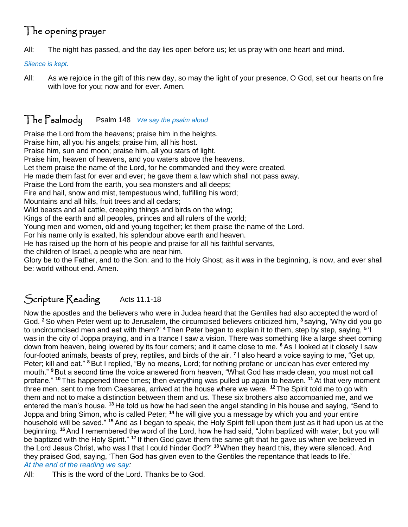## The opening prayer

All: The night has passed, and the day lies open before us; let us pray with one heart and mind.

*Silence is kept.*

All: As we rejoice in the gift of this new day, so may the light of your presence, O God, set our hearts on fire with love for you; now and for ever. Amen.

### The Psalmody Psalm 148 *We say the psalm aloud*

Praise the Lord from the heavens; praise him in the heights. Praise him, all you his angels; praise him, all his host. Praise him, sun and moon; praise him, all you stars of light. Praise him, heaven of heavens, and you waters above the heavens. Let them praise the name of the Lord, for he commanded and they were created. He made them fast for ever and ever; he gave them a law which shall not pass away. Praise the Lord from the earth, you sea monsters and all deeps; Fire and hail, snow and mist, tempestuous wind, fulfilling his word; Mountains and all hills, fruit trees and all cedars; Wild beasts and all cattle, creeping things and birds on the wing; Kings of the earth and all peoples, princes and all rulers of the world; Young men and women, old and young together; let them praise the name of the Lord. For his name only is exalted, his splendour above earth and heaven. He has raised up the horn of his people and praise for all his faithful servants, the children of Israel, a people who are near him. Glory be to the Father, and to the Son: and to the Holy Ghost; as it was in the beginning, is now, and ever shall be: world without end. Amen.

## Scripture Reading Acts 11.1-18

Now the apostles and the believers who were in Judea heard that the Gentiles had also accepted the word of God. **<sup>2</sup>** So when Peter went up to Jerusalem, the circumcised believers criticized him, **<sup>3</sup>** saying, 'Why did you go to uncircumcised men and eat with them?' **<sup>4</sup>** Then Peter began to explain it to them, step by step, saying, **<sup>5</sup>** 'I was in the city of Joppa praying, and in a trance I saw a vision. There was something like a large sheet coming down from heaven, being lowered by its four corners; and it came close to me. **<sup>6</sup>** As I looked at it closely I saw four-footed animals, beasts of prey, reptiles, and birds of the air. **<sup>7</sup>** I also heard a voice saying to me, "Get up, Peter; kill and eat." **<sup>8</sup>** But I replied, "By no means, Lord; for nothing profane or unclean has ever entered my mouth." **<sup>9</sup>** But a second time the voice answered from heaven, "What God has made clean, you must not call profane." **<sup>10</sup>** This happened three times; then everything was pulled up again to heaven. **<sup>11</sup>** At that very moment three men, sent to me from Caesarea, arrived at the house where we were. **<sup>12</sup>** The Spirit told me to go with them and not to make a distinction between them and us. These six brothers also accompanied me, and we entered the man's house. **<sup>13</sup>** He told us how he had seen the angel standing in his house and saying, "Send to Joppa and bring Simon, who is called Peter; <sup>14</sup> he will give you a message by which you and your entire household will be saved." **<sup>15</sup>** And as I began to speak, the Holy Spirit fell upon them just as it had upon us at the beginning. **<sup>16</sup>** And I remembered the word of the Lord, how he had said, "John baptized with water, but you will be baptized with the Holy Spirit." **<sup>17</sup>** If then God gave them the same gift that he gave us when we believed in the Lord Jesus Christ, who was I that I could hinder God?' **<sup>18</sup>**When they heard this, they were silenced. And they praised God, saying, 'Then God has given even to the Gentiles the repentance that leads to life.' *At the end of the reading we say:*

All: This is the word of the Lord. Thanks be to God.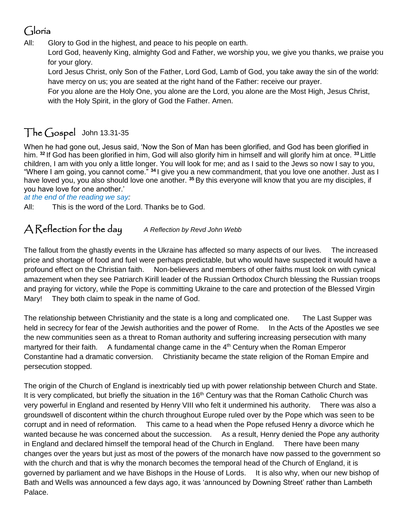## Gloria

All: Glory to God in the highest, and peace to his people on earth.

Lord God, heavenly King, almighty God and Father, we worship you, we give you thanks, we praise you for your glory.

Lord Jesus Christ, only Son of the Father, Lord God, Lamb of God, you take away the sin of the world: have mercy on us; you are seated at the right hand of the Father: receive our prayer.

For you alone are the Holy One, you alone are the Lord, you alone are the Most High, Jesus Christ, with the Holy Spirit, in the glory of God the Father. Amen.

## The Gospel John 13.31-35

When he had gone out, Jesus said, 'Now the Son of Man has been glorified, and God has been glorified in him. **<sup>32</sup>** If God has been glorified in him, God will also glorify him in himself and will glorify him at once. **<sup>33</sup>** Little children, I am with you only a little longer. You will look for me; and as I said to the Jews so now I say to you, "Where I am going, you cannot come." **<sup>34</sup>** I give you a new commandment, that you love one another. Just as I have loved you, you also should love one another. **<sup>35</sup>** By this everyone will know that you are my disciples, if you have love for one another.'

*at the end of the reading we say:*

All: This is the word of the Lord. Thanks be to God.

### A Reflection for the day *A Reflection by Revd John Webb*

The fallout from the ghastly events in the Ukraine has affected so many aspects of our lives. The increased price and shortage of food and fuel were perhaps predictable, but who would have suspected it would have a profound effect on the Christian faith. Non-believers and members of other faiths must look on with cynical amazement when they see Patriarch Kirill leader of the Russian Orthodox Church blessing the Russian troops and praying for victory, while the Pope is committing Ukraine to the care and protection of the Blessed Virgin Mary! They both claim to speak in the name of God.

The relationship between Christianity and the state is a long and complicated one. The Last Supper was held in secrecy for fear of the Jewish authorities and the power of Rome. In the Acts of the Apostles we see the new communities seen as a threat to Roman authority and suffering increasing persecution with many martyred for their faith. A fundamental change came in the  $4<sup>th</sup>$  Century when the Roman Emperor Constantine had a dramatic conversion. Christianity became the state religion of the Roman Empire and persecution stopped.

The origin of the Church of England is inextricably tied up with power relationship between Church and State. It is very complicated, but briefly the situation in the 16<sup>th</sup> Century was that the Roman Catholic Church was very powerful in England and resented by Henry VIII who felt it undermined his authority. There was also a groundswell of discontent within the church throughout Europe ruled over by the Pope which was seen to be corrupt and in need of reformation. This came to a head when the Pope refused Henry a divorce which he wanted because he was concerned about the succession. As a result, Henry denied the Pope any authority in England and declared himself the temporal head of the Church in England. There have been many changes over the years but just as most of the powers of the monarch have now passed to the government so with the church and that is why the monarch becomes the temporal head of the Church of England, it is governed by parliament and we have Bishops in the House of Lords. It is also why, when our new bishop of Bath and Wells was announced a few days ago, it was 'announced by Downing Street' rather than Lambeth Palace.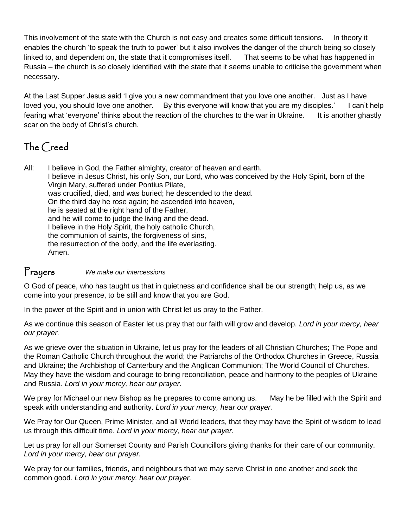This involvement of the state with the Church is not easy and creates some difficult tensions. In theory it enables the church 'to speak the truth to power' but it also involves the danger of the church being so closely linked to, and dependent on, the state that it compromises itself. That seems to be what has happened in Russia – the church is so closely identified with the state that it seems unable to criticise the government when necessary.

At the Last Supper Jesus said 'I give you a new commandment that you love one another. Just as I have loved you, you should love one another. By this everyone will know that you are my disciples.' I can't help fearing what 'everyone' thinks about the reaction of the churches to the war in Ukraine. It is another ghastly scar on the body of Christ's church.

## The Creed

All: I believe in God, the Father almighty, creator of heaven and earth. I believe in Jesus Christ, his only Son, our Lord, who was conceived by the Holy Spirit, born of the Virgin Mary, suffered under Pontius Pilate, was crucified, died, and was buried; he descended to the dead. On the third day he rose again; he ascended into heaven, he is seated at the right hand of the Father, and he will come to judge the living and the dead. I believe in the Holy Spirit, the holy catholic Church, the communion of saints, the forgiveness of sins, the resurrection of the body, and the life everlasting. Amen.

#### Prayers *We make our intercessions*

O God of peace, who has taught us that in quietness and confidence shall be our strength; help us, as we come into your presence, to be still and know that you are God.

In the power of the Spirit and in union with Christ let us pray to the Father.

As we continue this season of Easter let us pray that our faith will grow and develop. *Lord in your mercy, hear our prayer.*

As we grieve over the situation in Ukraine, let us pray for the leaders of all Christian Churches; The Pope and the Roman Catholic Church throughout the world; the Patriarchs of the Orthodox Churches in Greece, Russia and Ukraine; the Archbishop of Canterbury and the Anglican Communion; The World Council of Churches. May they have the wisdom and courage to bring reconciliation, peace and harmony to the peoples of Ukraine and Russia. *Lord in your mercy, hear our prayer.*

We pray for Michael our new Bishop as he prepares to come among us. May he be filled with the Spirit and speak with understanding and authority. *Lord in your mercy, hear our prayer.*

We Pray for Our Queen, Prime Minister, and all World leaders, that they may have the Spirit of wisdom to lead us through this difficult time. *Lord in your mercy, hear our prayer.*

Let us pray for all our Somerset County and Parish Councillors giving thanks for their care of our community. *Lord in your mercy, hear our prayer.*

We pray for our families, friends, and neighbours that we may serve Christ in one another and seek the common good. *Lord in your mercy, hear our prayer.*